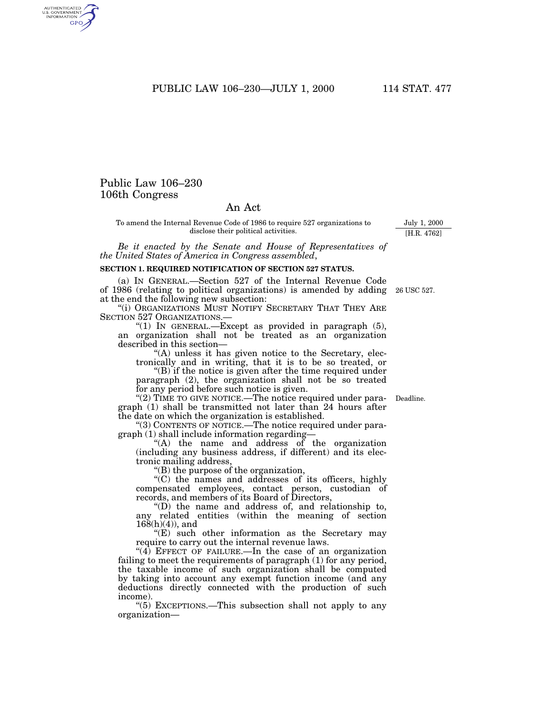PUBLIC LAW 106–230—JULY 1, 2000 114 STAT. 477

# Public Law 106–230 106th Congress

AUTHENTICATED<br>U.S. GOVERNMENT<br>INFORMATION GPO

## An Act

To amend the Internal Revenue Code of 1986 to require 527 organizations to disclose their political activities.

*Be it enacted by the Senate and House of Representatives of the United States of America in Congress assembled*,

#### **SECTION 1. REQUIRED NOTIFICATION OF SECTION 527 STATUS.**

(a) IN GENERAL.—Section 527 of the Internal Revenue Code of 1986 (relating to political organizations) is amended by adding 26 USC 527. at the end the following new subsection:

"(i) ORGANIZATIONS MUST NOTIFY SECRETARY THAT THEY ARE SECTION 527 ORGANIZATIONS.—

"(1) IN GENERAL.—Except as provided in paragraph (5), an organization shall not be treated as an organization described in this section—

''(A) unless it has given notice to the Secretary, electronically and in writing, that it is to be so treated, or

''(B) if the notice is given after the time required under paragraph (2), the organization shall not be so treated for any period before such notice is given.

" $(2)$  TIME TO GIVE NOTICE.—The notice required under paragraph (1) shall be transmitted not later than 24 hours after the date on which the organization is established.

''(3) CONTENTS OF NOTICE.—The notice required under paragraph (1) shall include information regarding—

''(A) the name and address of the organization (including any business address, if different) and its electronic mailing address,

(B) the purpose of the organization,

 $(C)$  the names and addresses of its officers, highly compensated employees, contact person, custodian of records, and members of its Board of Directors,

 $'(D)$  the name and address of, and relationship to, any related entities (within the meaning of section  $168(h)(4)$ , and

 $E$ ) such other information as the Secretary may require to carry out the internal revenue laws.

"(4) EFFECT OF FAILURE.—In the case of an organization failing to meet the requirements of paragraph (1) for any period, the taxable income of such organization shall be computed by taking into account any exempt function income (and any deductions directly connected with the production of such income).

''(5) EXCEPTIONS.—This subsection shall not apply to any organization—

Deadline.

July 1, 2000 [H.R. 4762]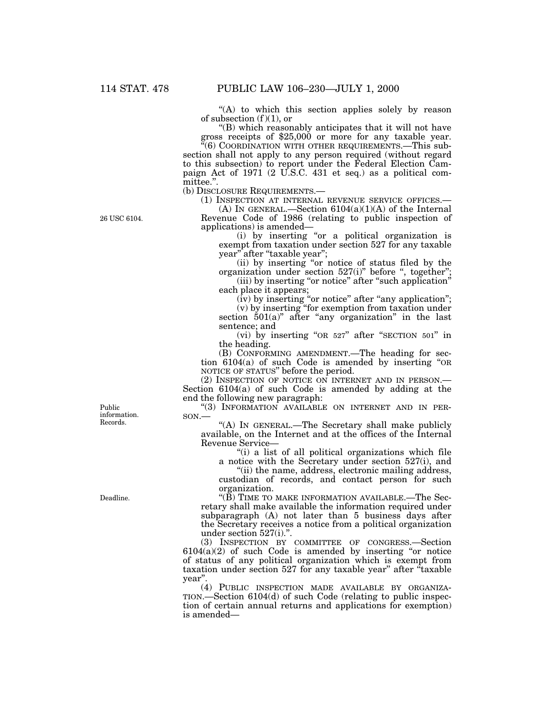26 USC 6104.

''(A) to which this section applies solely by reason of subsection (f)(1), or<br>"(B) which reasonably anticipates that it will not have

''(B) which reasonably anticipates that it will not have gross receipts of \$25,000 or more for any taxable year. ''(6) COORDINATION WITH OTHER REQUIREMENTS.—This sub-

section shall not apply to any person required (without regard to this subsection) to report under the Federal Election Campaign Act of 1971 (2 U.S.C. 431 et seq.) as a political committee.''.

(b) DISCLOSURE REQUIREMENTS.—

(1) INSPECTION AT INTERNAL REVENUE SERVICE OFFICES.—

(A) IN GENERAL.—Section  $6104(a)(1)(A)$  of the Internal Revenue Code of 1986 (relating to public inspection of applications) is amended—

(i) by inserting ''or a political organization is exempt from taxation under section 527 for any taxable year'' after ''taxable year'';

(ii) by inserting ''or notice of status filed by the organization under section 527(i)'' before '', together''; (iii) by inserting "or notice" after "such application"

each place it appears; (iv) by inserting "or notice" after "any application";

(v) by inserting ''for exemption from taxation under section  $501(a)$ " after "any organization" in the last sentence; and

(vi) by inserting ''OR 527'' after ''SECTION 501'' in the heading.

(B) CONFORMING AMENDMENT.—The heading for section 6104(a) of such Code is amended by inserting ''OR NOTICE OF STATUS'' before the period.

(2) INSPECTION OF NOTICE ON INTERNET AND IN PERSON.— Section 6104(a) of such Code is amended by adding at the end the following new paragraph:

''(3) INFORMATION AVAILABLE ON INTERNET AND IN PER-SON.—

''(A) IN GENERAL.—The Secretary shall make publicly available, on the Internet and at the offices of the Internal Revenue Service—

''(i) a list of all political organizations which file a notice with the Secretary under section 527(i), and

''(ii) the name, address, electronic mailing address, custodian of records, and contact person for such organization.

''(B) TIME TO MAKE INFORMATION AVAILABLE.—The Secretary shall make available the information required under subparagraph (A) not later than 5 business days after the Secretary receives a notice from a political organization under section 527(i).''.

(3) INSPECTION BY COMMITTEE OF CONGRESS.—Section  $6104(a)(2)$  of such Code is amended by inserting "or notice of status of any political organization which is exempt from taxation under section 527 for any taxable year" after "taxable year''.

(4) PUBLIC INSPECTION MADE AVAILABLE BY ORGANIZA-TION.—Section 6104(d) of such Code (relating to public inspection of certain annual returns and applications for exemption) is amended—

Public information. Records.

Deadline.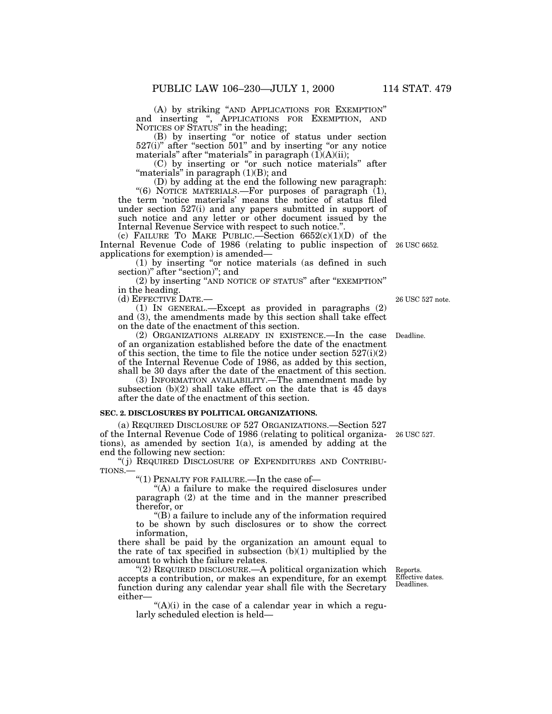(A) by striking ''AND APPLICATIONS FOR EXEMPTION'' and inserting '', APPLICATIONS FOR EXEMPTION, AND NOTICES OF STATUS'' in the heading;

(B) by inserting ''or notice of status under section 527(i)" after "section 501" and by inserting "or any notice materials" after "materials" in paragraph  $(\tilde{1})(A)(ii)$ ;

(C) by inserting or ''or such notice materials'' after "materials" in paragraph  $(1)(B)$ ; and

(D) by adding at the end the following new paragraph: "(6) NOTICE MATERIALS.—For purposes of paragraph (1), the term 'notice materials' means the notice of status filed under section 527(i) and any papers submitted in support of such notice and any letter or other document issued by the Internal Revenue Service with respect to such notice.'

(c) FAILURE TO MAKE PUBLIC.—Section  $6652(c)(1)(D)$  of the Internal Revenue Code of 1986 (relating to public inspection of 26 USC 6652. applications for exemption) is amended—

(1) by inserting ''or notice materials (as defined in such section)" after "section)"; and

(2) by inserting ''AND NOTICE OF STATUS'' after ''EXEMPTION'' in the heading.

(d) EFFECTIVE DATE.—

(1) IN GENERAL.—Except as provided in paragraphs (2) and (3), the amendments made by this section shall take effect on the date of the enactment of this section.

(2) ORGANIZATIONS ALREADY IN EXISTENCE.—In the case of an organization established before the date of the enactment of this section, the time to file the notice under section  $527(i)(2)$ of the Internal Revenue Code of 1986, as added by this section, shall be 30 days after the date of the enactment of this section.

(3) INFORMATION AVAILABILITY.—The amendment made by subsection  $(b)(2)$  shall take effect on the date that is 45 days after the date of the enactment of this section.

#### **SEC. 2. DISCLOSURES BY POLITICAL ORGANIZATIONS.**

(a) REQUIRED DISCLOSURE OF 527 ORGANIZATIONS.—Section 527 of the Internal Revenue Code of 1986 (relating to political organizations), as amended by section  $1(a)$ , is amended by adding at the end the following new section:

(j) REQUIRED DISCLOSURE OF EXPENDITURES AND CONTRIBU-TIONS.—

''(1) PENALTY FOR FAILURE.—In the case of—

"(A) a failure to make the required disclosures under paragraph (2) at the time and in the manner prescribed therefor, or

''(B) a failure to include any of the information required to be shown by such disclosures or to show the correct information,

there shall be paid by the organization an amount equal to the rate of tax specified in subsection  $(b)(1)$  multiplied by the amount to which the failure relates.

"(2) REQUIRED DISCLOSURE.—A political organization which accepts a contribution, or makes an expenditure, for an exempt function during any calendar year shall file with the Secretary either—

" $(A)(i)$  in the case of a calendar year in which a regularly scheduled election is held—

Reports. Effective dates. Deadlines.

26 USC 527.

26 USC 527 note.

Deadline.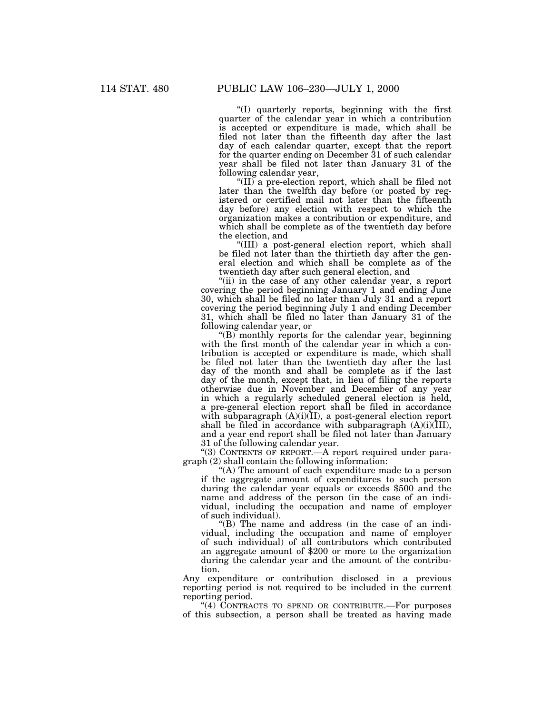''(I) quarterly reports, beginning with the first quarter of the calendar year in which a contribution is accepted or expenditure is made, which shall be filed not later than the fifteenth day after the last day of each calendar quarter, except that the report for the quarter ending on December 31 of such calendar year shall be filed not later than January 31 of the following calendar year,

"(II) a pre-election report, which shall be filed not later than the twelfth day before (or posted by registered or certified mail not later than the fifteenth day before) any election with respect to which the organization makes a contribution or expenditure, and which shall be complete as of the twentieth day before the election, and

''(III) a post-general election report, which shall be filed not later than the thirtieth day after the general election and which shall be complete as of the twentieth day after such general election, and

"(ii) in the case of any other calendar year, a report covering the period beginning January 1 and ending June 30, which shall be filed no later than July 31 and a report covering the period beginning July 1 and ending December 31, which shall be filed no later than January 31 of the following calendar year, or

 $\degree$ (B) monthly reports for the calendar year, beginning with the first month of the calendar year in which a contribution is accepted or expenditure is made, which shall be filed not later than the twentieth day after the last day of the month and shall be complete as if the last day of the month, except that, in lieu of filing the reports otherwise due in November and December of any year in which a regularly scheduled general election is held, a pre-general election report shall be filed in accordance with subparagraph  $(A)(i)(II)$ , a post-general election report shall be filed in accordance with subparagraph  $(A)(i)(III)$ , and a year end report shall be filed not later than January 31 of the following calendar year.

"(3) CONTENTS OF REPORT.—A report required under paragraph (2) shall contain the following information:

"(A) The amount of each expenditure made to a person if the aggregate amount of expenditures to such person during the calendar year equals or exceeds \$500 and the name and address of the person (in the case of an individual, including the occupation and name of employer of such individual).

''(B) The name and address (in the case of an individual, including the occupation and name of employer of such individual) of all contributors which contributed an aggregate amount of \$200 or more to the organization during the calendar year and the amount of the contribution.

Any expenditure or contribution disclosed in a previous reporting period is not required to be included in the current reporting period.

"(4) CONTRACTS TO SPEND OR CONTRIBUTE.—For purposes of this subsection, a person shall be treated as having made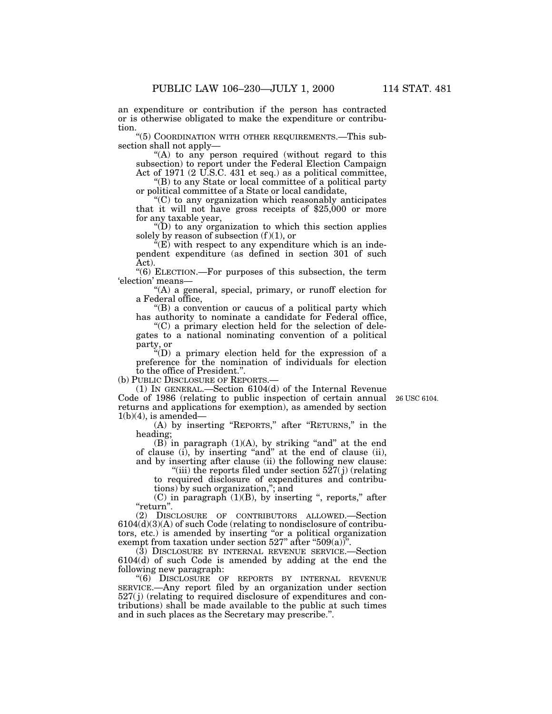an expenditure or contribution if the person has contracted or is otherwise obligated to make the expenditure or contribution.

''(5) COORDINATION WITH OTHER REQUIREMENTS.—This subsection shall not apply—

" $(A)$  to any person required (without regard to this subsection) to report under the Federal Election Campaign Act of 1971 (2 U.S.C. 431 et seq.) as a political committee,

''(B) to any State or local committee of a political party or political committee of a State or local candidate,

''(C) to any organization which reasonably anticipates that it will not have gross receipts of \$25,000 or more for any taxable year,

 $\mathrm{``(D)}$  to any organization to which this section applies solely by reason of subsection  $(f)(1)$ , or

 $E(W)$  with respect to any expenditure which is an independent expenditure (as defined in section 301 of such Act).

''(6) ELECTION.—For purposes of this subsection, the term 'election' means—

"(A) a general, special, primary, or runoff election for a Federal office,

 $\mathrm{``(B)}$  a convention or caucus of a political party which has authority to nominate a candidate for Federal office,

 $(C)$  a primary election held for the selection of delegates to a national nominating convention of a political party, or

''(D) a primary election held for the expression of a preference for the nomination of individuals for election to the office of President.''.

(b) PUBLIC DISCLOSURE OF REPORTS.—

(1) IN GENERAL.—Section 6104(d) of the Internal Revenue Code of 1986 (relating to public inspection of certain annual returns and applications for exemption), as amended by section  $1(b)(4)$ , is amended-

26 USC 6104.

(A) by inserting ''REPORTS,'' after ''RETURNS,'' in the heading;

(B) in paragraph  $(1)(A)$ , by striking "and" at the end of clause (i), by inserting ''and'' at the end of clause (ii), and by inserting after clause (ii) the following new clause:

"(iii) the reports filed under section  $527(j)$  (relating to required disclosure of expenditures and contributions) by such organization,''; and

 $(C)$  in paragraph  $(1)(B)$ , by inserting ", reports," after "return".

(2) DISCLOSURE OF CONTRIBUTORS ALLOWED.—Section  $6104(d)(3)(A)$  of such Code (relating to nondisclosure of contributors, etc.) is amended by inserting "or a political organization exempt from taxation under section  $527$ " after " $509(a)$ ".

(3) DISCLOSURE BY INTERNAL REVENUE SERVICE.—Section 6104(d) of such Code is amended by adding at the end the following new paragraph:

''(6) DISCLOSURE OF REPORTS BY INTERNAL REVENUE SERVICE.—Any report filed by an organization under section 527( j) (relating to required disclosure of expenditures and contributions) shall be made available to the public at such times and in such places as the Secretary may prescribe.''.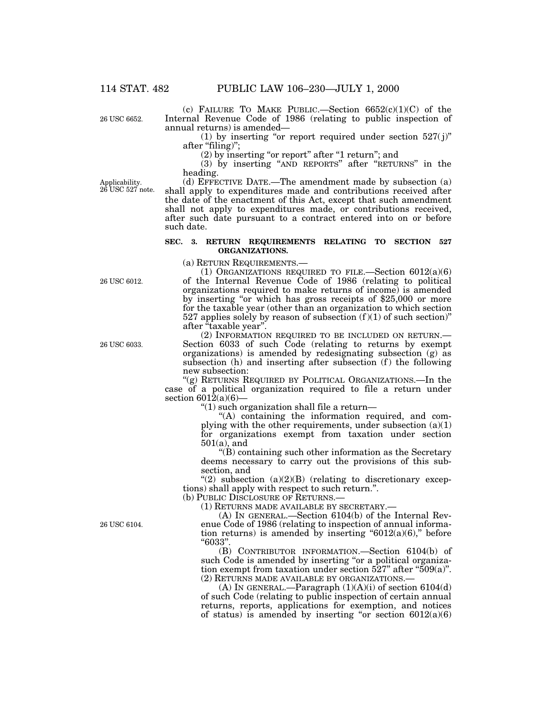26 USC 6652.

(c) FAILURE TO MAKE PUBLIC.—Section  $6652(c)(1)(C)$  of the Internal Revenue Code of 1986 (relating to public inspection of annual returns) is amended—

(1) by inserting "or report required under section  $527(j)$ " after "filing)";

 $(2)$  by inserting "or report" after "1 return"; and

(3) by inserting ''AND REPORTS'' after ''RETURNS'' in the heading.

Applicability. 26 USC 527 note.

(d) EFFECTIVE DATE.—The amendment made by subsection (a) shall apply to expenditures made and contributions received after the date of the enactment of this Act, except that such amendment shall not apply to expenditures made, or contributions received, after such date pursuant to a contract entered into on or before such date.

### **SEC. 3. RETURN REQUIREMENTS RELATING TO SECTION 527 ORGANIZATIONS.**

(a) RETURN REQUIREMENTS.—

(1) ORGANIZATIONS REQUIRED TO FILE.—Section 6012(a)(6) of the Internal Revenue Code of 1986 (relating to political organizations required to make returns of income) is amended by inserting "or which has gross receipts of \$25,000 or more for the taxable year (other than an organization to which section 527 applies solely by reason of subsection  $(f)(1)$  of such section)" after "taxable year".

(2) INFORMATION REQUIRED TO BE INCLUDED ON RETURN.— Section 6033 of such Code (relating to returns by exempt organizations) is amended by redesignating subsection (g) as subsection  $(h)$  and inserting after subsection  $(f)$  the following new subsection:

"(g) RETURNS REQUIRED BY POLITICAL ORGANIZATIONS.—In the case of a political organization required to file a return under section  $6012(a)(6)$ -

''(1) such organization shall file a return—

''(A) containing the information required, and complying with the other requirements, under subsection  $(a)(1)$ for organizations exempt from taxation under section 501(a), and

''(B) containing such other information as the Secretary deems necessary to carry out the provisions of this subsection, and

"(2) subsection  $(a)(2)(B)$  (relating to discretionary exceptions) shall apply with respect to such return.''.

(b) PUBLIC DISCLOSURE OF RETURNS.—

(1) RETURNS MADE AVAILABLE BY SECRETARY.—

(A) IN GENERAL.—Section 6104(b) of the Internal Revenue Code of 1986 (relating to inspection of annual information returns) is amended by inserting " $6012(a)(6)$ ," before ''6033''.

(B) CONTRIBUTOR INFORMATION.—Section 6104(b) of such Code is amended by inserting "or a political organization exempt from taxation under section  $527$ " after " $509(a)$ ". (2) RETURNS MADE AVAILABLE BY ORGANIZATIONS.—

(A) In GENERAL.—Paragraph  $(1)(A)(i)$  of section 6104(d) of such Code (relating to public inspection of certain annual returns, reports, applications for exemption, and notices of status) is amended by inserting "or section  $6012(a)(6)$ 

26 USC 6012.

26 USC 6033.

26 USC 6104.